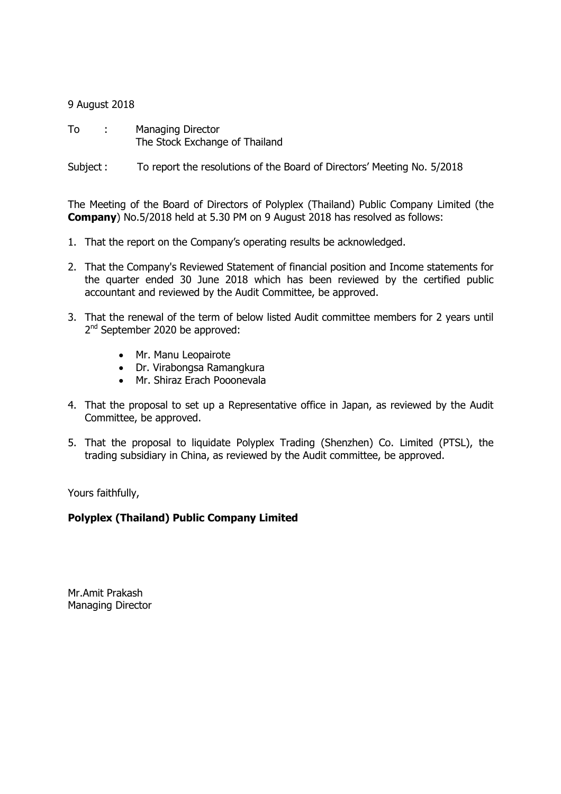## 9 August 2018

To : Managing Director The Stock Exchange of Thailand

Subject : To report the resolutions of the Board of Directors' Meeting No. 5/2018

The Meeting of the Board of Directors of Polyplex (Thailand) Public Company Limited (the Company) No.5/2018 held at 5.30 PM on 9 August 2018 has resolved as follows:

- 1. That the report on the Company's operating results be acknowledged.
- 2. That the Company's Reviewed Statement of financial position and Income statements for the quarter ended 30 June 2018 which has been reviewed by the certified public accountant and reviewed by the Audit Committee, be approved.
- 3. That the renewal of the term of below listed Audit committee members for 2 years until 2<sup>nd</sup> September 2020 be approved:
	- Mr. Manu Leopairote
	- Dr. Virabongsa Ramangkura
	- Mr. Shiraz Erach Pooonevala
- 4. That the proposal to set up a Representative office in Japan, as reviewed by the Audit Committee, be approved.
- 5. That the proposal to liquidate Polyplex Trading (Shenzhen) Co. Limited (PTSL), the trading subsidiary in China, as reviewed by the Audit committee, be approved.

Yours faithfully,

## Polyplex (Thailand) Public Company Limited

Mr.Amit Prakash Managing Director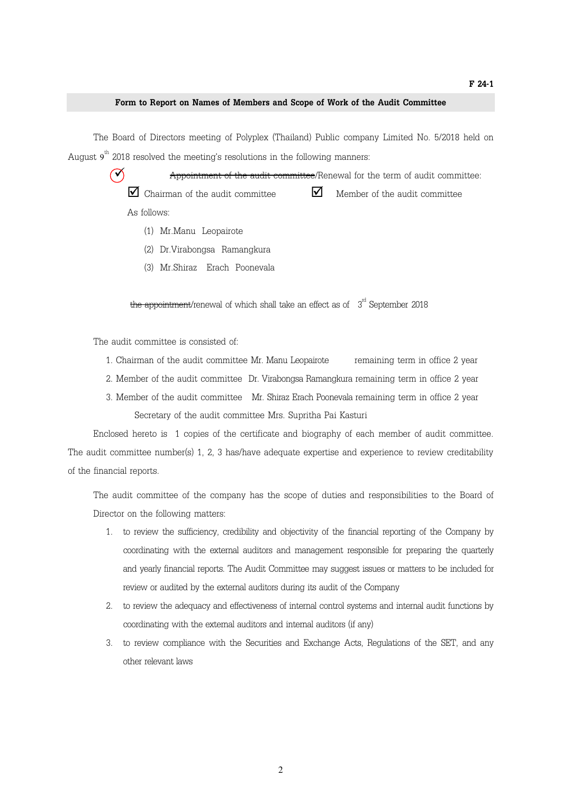## Form to Report on Names of Members and Scope of Work of the Audit Committee

 The Board of Directors meeting of Polyplex (Thailand) Public company Limited No. 5/2018 held on August  $9^{\rm th}$  2018 resolved the meeting's resolutions in the following manners:

> $\widetilde{\mathcal{A}}$  Appointment of the audit committee/Renewal for the term of audit committee:  $\Box$  Chairman of the audit committee  $\Box$  $\blacksquare$  Member of the audit committee As follows:

- (1) Mr.Manu Leopairote
- (2) Dr.Virabongsa Ramangkura
- (3) Mr.Shiraz Erach Poonevala

the appointment/renewal of which shall take an effect as of  $3<sup>rd</sup>$  September 2018

The audit committee is consisted of:

- 1. Chairman of the audit committee Mr. Manu Leopairote remaining term in office 2 year
- 2. Member of the audit committee Dr. Virabongsa Ramangkura remaining term in office 2 year
- 3. Member of the audit committee Mr. Shiraz Erach Poonevala remaining term in office 2 year Secretary of the audit committee Mrs. Supritha Pai Kasturi

 Enclosed hereto is 1 copies of the certificate and biography of each member of audit committee. The audit committee number(s) 1, 2, 3 has/have adequate expertise and experience to review creditability of the financial reports.

The audit committee of the company has the scope of duties and responsibilities to the Board of Director on the following matters:

- 1. to review the sufficiency, credibility and objectivity of the financial reporting of the Company by coordinating with the external auditors and management responsible for preparing the quarterly and yearly financial reports. The Audit Committee may suggest issues or matters to be included for review or audited by the external auditors during its audit of the Company
- 2. to review the adequacy and effectiveness of internal control systems and internal audit functions by coordinating with the external auditors and internal auditors (if any)
- 3. to review compliance with the Securities and Exchange Acts, Regulations of the SET, and any other relevant laws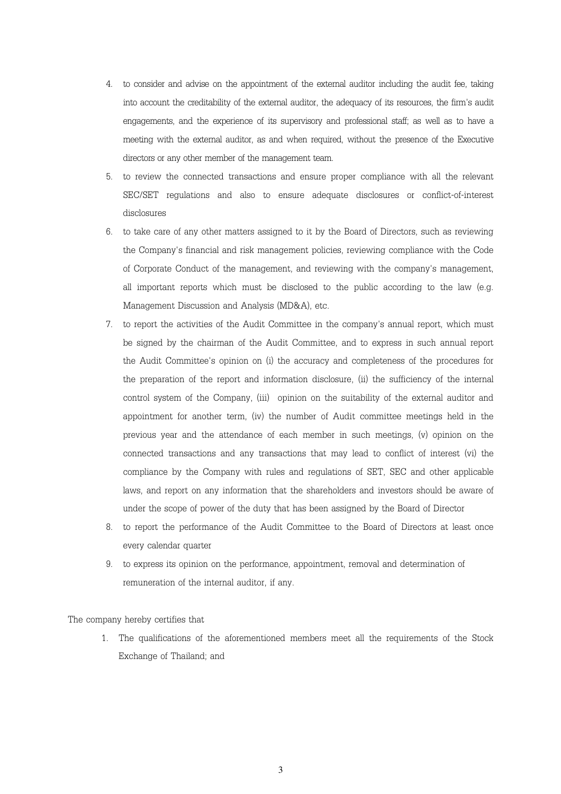- 4. to consider and advise on the appointment of the external auditor including the audit fee, taking into account the creditability of the external auditor, the adequacy of its resources, the firm's audit engagements, and the experience of its supervisory and professional staff; as well as to have a meeting with the external auditor, as and when required, without the presence of the Executive directors or any other member of the management team.
- 5. to review the connected transactions and ensure proper compliance with all the relevant SEC/SET regulations and also to ensure adequate disclosures or conflict-of-interest disclosures
- 6. to take care of any other matters assigned to it by the Board of Directors, such as reviewing the Company's financial and risk management policies, reviewing compliance with the Code of Corporate Conduct of the management, and reviewing with the company's management, all important reports which must be disclosed to the public according to the law (e.g. Management Discussion and Analysis (MD&A), etc.
- 7. to report the activities of the Audit Committee in the company's annual report, which must be signed by the chairman of the Audit Committee, and to express in such annual report the Audit Committee's opinion on (i) the accuracy and completeness of the procedures for the preparation of the report and information disclosure, (ii) the sufficiency of the internal control system of the Company, (iii) opinion on the suitability of the external auditor and appointment for another term, (iv) the number of Audit committee meetings held in the previous year and the attendance of each member in such meetings, (v) opinion on the connected transactions and any transactions that may lead to conflict of interest (vi) the compliance by the Company with rules and regulations of SET, SEC and other applicable laws, and report on any information that the shareholders and investors should be aware of under the scope of power of the duty that has been assigned by the Board of Director
- 8. to report the performance of the Audit Committee to the Board of Directors at least once every calendar quarter
- 9. to express its opinion on the performance, appointment, removal and determination of remuneration of the internal auditor, if any.

The company hereby certifies that

1. The qualifications of the aforementioned members meet all the requirements of the Stock Exchange of Thailand; and